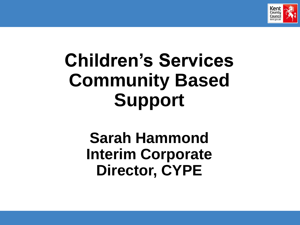

# **Children's Services Community Based Support**

**Sarah Hammond Interim Corporate Director, CYPE**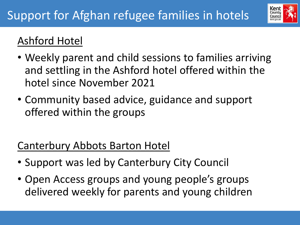

# Ashford Hotel

- Weekly parent and child sessions to families arriving and settling in the Ashford hotel offered within the hotel since November 2021
- Community based advice, guidance and support offered within the groups

#### Canterbury Abbots Barton Hotel

- Support was led by Canterbury City Council
- Open Access groups and young people's groups delivered weekly for parents and young children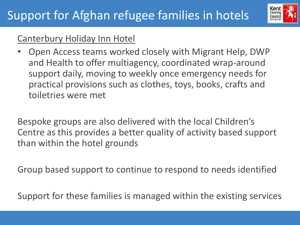

#### Canterbury Holiday Inn Hotel

• Open Access teams worked closely with Migrant Help, DWP and Health to offer multiagency, coordinated wrap-around support daily, moving to weekly once emergency needs for practical provisions such as clothes, toys, books, crafts and toiletries were met

Bespoke groups are also delivered with the local Children's Centre as this provides a better quality of activity based support than within the hotel grounds

Group based support to continue to respond to needs identified

Support for these families is managed within the existing services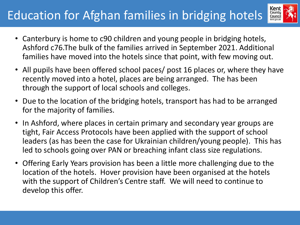# Education for Afghan families in bridging hotels



- Canterbury is home to c90 children and young people in bridging hotels, Ashford c76.The bulk of the families arrived in September 2021. Additional families have moved into the hotels since that point, with few moving out.
- All pupils have been offered school paces/ post 16 places or, where they have recently moved into a hotel, places are being arranged. The has been through the support of local schools and colleges.
- Due to the location of the bridging hotels, transport has had to be arranged for the majority of families.
- In Ashford, where places in certain primary and secondary year groups are tight, Fair Access Protocols have been applied with the support of school leaders (as has been the case for Ukrainian children/young people). This has led to schools going over PAN or breaching infant class size regulations.
- Offering Early Years provision has been a little more challenging due to the location of the hotels. Hover provision have been organised at the hotels with the support of Children's Centre staff. We will need to continue to develop this offer.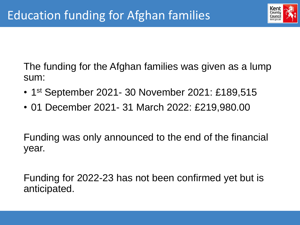

The funding for the Afghan families was given as a lump sum:

- 1<sup>st</sup> September 2021- 30 November 2021: £189,515
- 01 December 2021- 31 March 2022: £219,980.00

Funding was only announced to the end of the financial year.

Funding for 2022-23 has not been confirmed yet but is anticipated.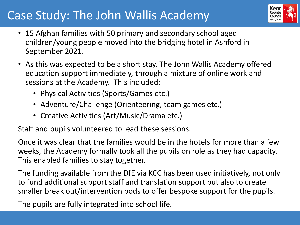# Case Study: The John Wallis Academy



- 15 Afghan families with 50 primary and secondary school aged children/young people moved into the bridging hotel in Ashford in September 2021.
- As this was expected to be a short stay, The John Wallis Academy offered education support immediately, through a mixture of online work and sessions at the Academy. This included:
	- Physical Activities (Sports/Games etc.)
	- Adventure/Challenge (Orienteering, team games etc.)
	- Creative Activities (Art/Music/Drama etc.)

Staff and pupils volunteered to lead these sessions.

Once it was clear that the families would be in the hotels for more than a few weeks, the Academy formally took all the pupils on role as they had capacity. This enabled families to stay together.

The funding available from the DfE via KCC has been used initiatively, not only to fund additional support staff and translation support but also to create smaller break out/intervention pods to offer bespoke support for the pupils.

The pupils are fully integrated into school life.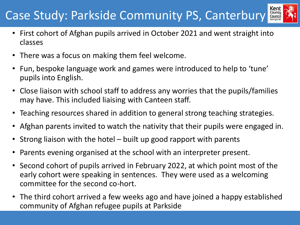# Case Study: Parkside Community PS, Canterbury



- First cohort of Afghan pupils arrived in October 2021 and went straight into classes
- There was a focus on making them feel welcome.
- Fun, bespoke language work and games were introduced to help to 'tune' pupils into English.
- Close liaison with school staff to address any worries that the pupils/families may have. This included liaising with Canteen staff.
- Teaching resources shared in addition to general strong teaching strategies.
- Afghan parents invited to watch the nativity that their pupils were engaged in.
- Strong liaison with the hotel built up good rapport with parents
- Parents evening organised at the school with an interpreter present.
- Second cohort of pupils arrived in February 2022, at which point most of the early cohort were speaking in sentences. They were used as a welcoming committee for the second co-hort.
- The third cohort arrived a few weeks ago and have joined a happy established community of Afghan refugee pupils at Parkside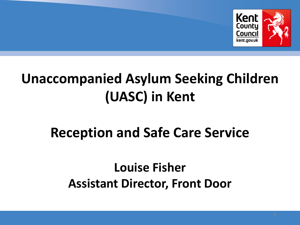

# **Unaccompanied Asylum Seeking Children (UASC) in Kent**

# **Reception and Safe Care Service**

# **Louise Fisher Assistant Director, Front Door**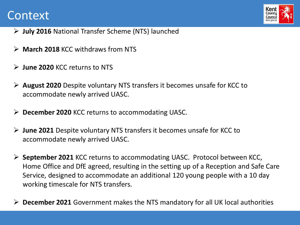#### Context



- ➢ **July 2016** National Transfer Scheme (NTS) launched
- ➢ **March 2018** KCC withdraws from NTS
- ➢ **June 2020** KCC returns to NTS

Children, Young People and Education

- ➢ **August 2020** Despite voluntary NTS transfers it becomes unsafe for KCC to accommodate newly arrived UASC.
- ➢ **December 2020** KCC returns to accommodating UASC.
- ➢ **June 2021** Despite voluntary NTS transfers it becomes unsafe for KCC to accommodate newly arrived UASC.
- ➢ **September 2021** KCC returns to accommodating UASC. Protocol between KCC, Home Office and DfE agreed, resulting in the setting up of a Reception and Safe Care Service, designed to accommodate an additional 120 young people with a 10 day working timescale for NTS transfers.
- ➢ **December 2021** Government makes the NTS mandatory for all UK local authorities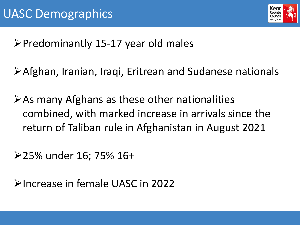

➢Predominantly 15-17 year old males

➢Afghan, Iranian, Iraqi, Eritrean and Sudanese nationals

➢As many Afghans as these other nationalities combined, with marked increase in arrivals since the return of Taliban rule in Afghanistan in August 2021

➢25% under 16; 75% 16+

➢Increase in female UASC in 2022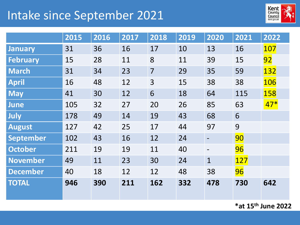# Intake since September 2021



|                  | 2015 | 2016 | 2017 | 2018 | 2019 | 2020         | 2021 | 2022       |
|------------------|------|------|------|------|------|--------------|------|------------|
| <b>January</b>   | 31   | 36   | 16   | 17   | 10   | 13           | 16   | 107        |
| <b>February</b>  | 15   | 28   | 11   | 8    | 11   | 39           | 15   | 92         |
| <b>March</b>     | 31   | 34   | 23   | 7    | 29   | 35           | 59   | 132        |
| <b>April</b>     | 16   | 48   | 12   | 3    | 15   | 38           | 38   | 106        |
| <b>May</b>       | 41   | 30   | 12   | 6    | 18   | 64           | 115  | <b>158</b> |
| <b>June</b>      | 105  | 32   | 27   | 20   | 26   | 85           | 63   | $47*$      |
| July             | 178  | 49   | 14   | 19   | 43   | 68           | 6    |            |
| <b>August</b>    | 127  | 42   | 25   | 17   | 44   | 97           | 9    |            |
| <b>September</b> | 102  | 43   | 16   | 12   | 24   |              | 90   |            |
| <b>October</b>   | 211  | 19   | 19   | 11   | 40   |              | 96   |            |
| <b>November</b>  | 49   | 11   | 23   | 30   | 24   | $\mathbf{1}$ | 127  |            |
| <b>December</b>  | 40   | 18   | 12   | 12   | 48   | 38           | 96   |            |
| <b>TOTAL</b>     | 946  | 390  | 211  | 162  | 332  | 478          | 730  | 642        |

**\*at 15th June 2022**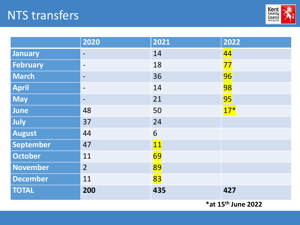### NTS transfers

Children, Young People and Education



|                  | 2020                     | 2021                                              | 2022           |
|------------------|--------------------------|---------------------------------------------------|----------------|
| January          | $\overline{\phantom{m}}$ | 14                                                | 44             |
| <b>February</b>  | $\qquad \qquad -$        | 18                                                | 77             |
| <b>March</b>     | $\overline{\phantom{a}}$ | 36                                                | 96             |
| <b>April</b>     | $\overline{\phantom{0}}$ | 14                                                | <b>98</b>      |
| <b>May</b>       | $\qquad \qquad -$        | 21                                                | <b>95</b>      |
| June             | 48                       | 50                                                | $17*$          |
| July             | 37                       | 24                                                |                |
| <b>August</b>    | 44                       | 6                                                 |                |
| <b>September</b> | 47                       | 11                                                |                |
| <b>October</b>   | 11                       | 69                                                |                |
| <b>November</b>  | $\overline{2}$           | 89                                                |                |
| <b>December</b>  | 11                       | 83                                                |                |
| <b>TOTAL</b>     | 200                      | 435<br>$\mathbf{v}$ . $\mathbf{v}$ . $\mathbf{v}$ | 427<br>$\big)$ |

**\*at 15th June 2022**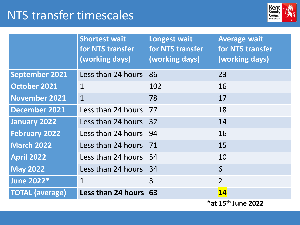### NTS transfer timescales



|                        | <b>Shortest wait</b><br>for NTS transfer<br>(working days) | <b>Longest wait</b><br>for NTS transfer<br>(working days) | <b>Average wait</b><br>for NTS transfer<br>(working days) |
|------------------------|------------------------------------------------------------|-----------------------------------------------------------|-----------------------------------------------------------|
| <b>September 2021</b>  | Less than 24 hours                                         | 86                                                        | 23                                                        |
| <b>October 2021</b>    | $\mathbf{1}$                                               | 102                                                       | 16                                                        |
| <b>November 2021</b>   | $\mathbf{1}$                                               | 78                                                        | 17                                                        |
| <b>December 2021</b>   | Less than 24 hours                                         | 77                                                        | 18                                                        |
| <b>January 2022</b>    | Less than 24 hours                                         | 32                                                        | 14                                                        |
| <b>February 2022</b>   | Less than 24 hours                                         | 94                                                        | 16                                                        |
| <b>March 2022</b>      | Less than 24 hours                                         | 71                                                        | 15                                                        |
| <b>April 2022</b>      | Less than 24 hours                                         | -54                                                       | 10                                                        |
| <b>May 2022</b>        | Less than 24 hours 34                                      |                                                           | 6                                                         |
| <b>June 2022*</b>      | $\mathbf{1}$                                               | $\overline{3}$                                            | $\overline{2}$                                            |
| <b>TOTAL (average)</b> | Less than 24 hours 63                                      |                                                           | 14                                                        |
|                        |                                                            |                                                           | *at 15 <sup>th</sup> June 2022                            |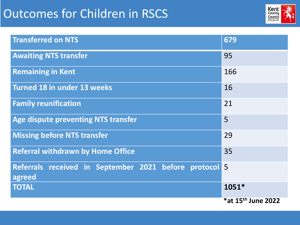# Outcomes for Children in RSCS

Children, Young People and Education



| <b>Transferred on NTS</b>                                      | 679                |
|----------------------------------------------------------------|--------------------|
| <b>Awaiting NTS transfer</b>                                   | 95                 |
| <b>Remaining in Kent</b>                                       | 166                |
| <b>Turned 18 in under 13 weeks</b>                             | 16                 |
| <b>Family reunification</b>                                    | 21                 |
| <b>Age dispute preventing NTS transfer</b>                     | 5                  |
| <b>Missing before NTS transfer</b>                             | 29                 |
| <b>Referral withdrawn by Home Office</b>                       | 35                 |
| Referrals received in September 2021 before protocol<br>agreed | 5                  |
| <b>TOTAL</b>                                                   | 1051*              |
|                                                                | *at 15th June 2022 |